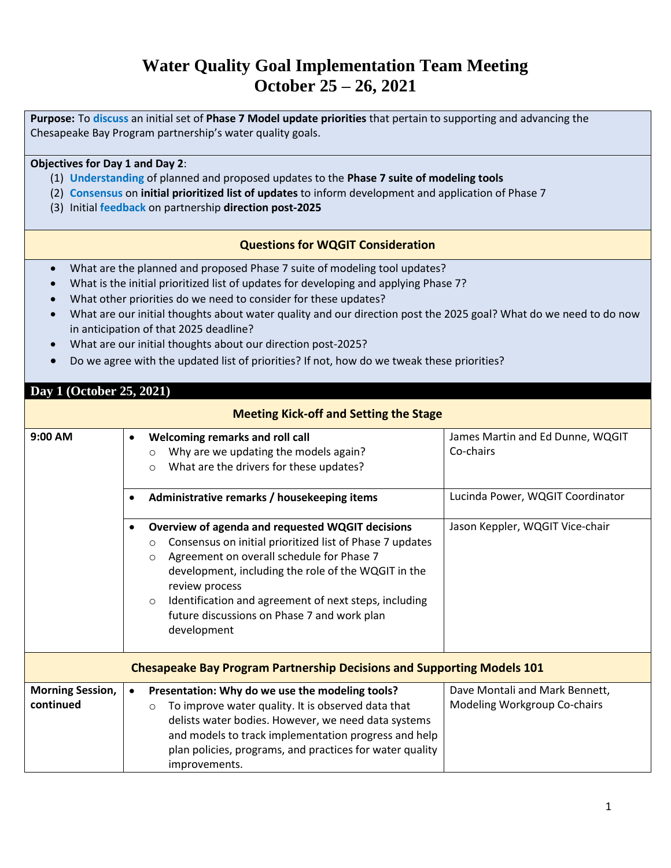# **Water Quality Goal Implementation Team Meeting October 25 – 26, 2021**

**Purpose:** To **discuss** an initial set of **Phase 7 Model update priorities** that pertain to supporting and advancing the Chesapeake Bay Program partnership's water quality goals.

## **Objectives for Day 1 and Day 2**:

- (1) **Understanding** of planned and proposed updates to the **Phase 7 suite of modeling tools**
- (2) **Consensus** on **initial prioritized list of updates** to inform development and application of Phase 7
- (3) Initial **feedback** on partnership **direction post-2025**

## **Questions for WQGIT Consideration**

- What are the planned and proposed Phase 7 suite of modeling tool updates?
- What is the initial prioritized list of updates for developing and applying Phase 7?
- What other priorities do we need to consider for these updates?
- What are our initial thoughts about water quality and our direction post the 2025 goal? What do we need to do now in anticipation of that 2025 deadline?
- What are our initial thoughts about our direction post-2025?
- Do we agree with the updated list of priorities? If not, how do we tweak these priorities?

## **Day 1 (October 25, 2021)**

### **Meeting Kick-off and Setting the Stage 9:00 AM** • **Welcoming remarks and roll call**  o Why are we updating the models again? o What are the drivers for these updates? James Martin and Ed Dunne, WQGIT Co-chairs • **Administrative remarks / housekeeping items** Lucinda Power, WQGIT Coordinator • **Overview of agenda and requested WQGIT decisions** o Consensus on initial prioritized list of Phase 7 updates o Agreement on overall schedule for Phase 7 development, including the role of the WQGIT in the review process o Identification and agreement of next steps, including future discussions on Phase 7 and work plan development Jason Keppler, WQGIT Vice-chair **Chesapeake Bay Program Partnership Decisions and Supporting Models 101 Morning Session, continued**  • **Presentation: Why do we use the modeling tools?**  o To improve water quality. It is observed data that delists water bodies. However, we need data systems and models to track implementation progress and help plan policies, programs, and practices for water quality improvements. Dave Montali and Mark Bennett, Modeling Workgroup Co-chairs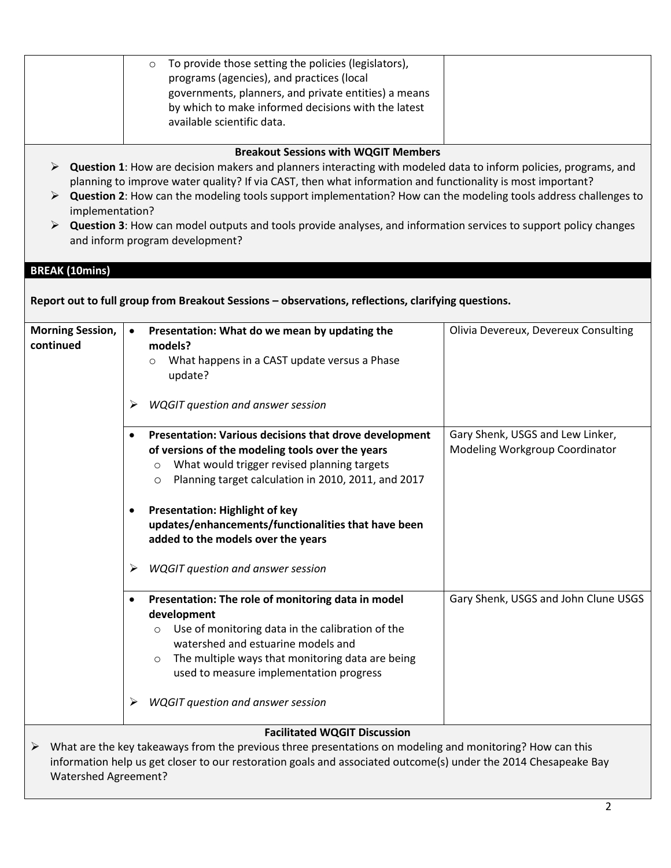|                         | To provide those setting the policies (legislators),<br>$\circ$                                                                                                                                                              |                                      |
|-------------------------|------------------------------------------------------------------------------------------------------------------------------------------------------------------------------------------------------------------------------|--------------------------------------|
|                         | programs (agencies), and practices (local                                                                                                                                                                                    |                                      |
|                         | governments, planners, and private entities) a means                                                                                                                                                                         |                                      |
|                         | by which to make informed decisions with the latest                                                                                                                                                                          |                                      |
|                         | available scientific data.                                                                                                                                                                                                   |                                      |
|                         |                                                                                                                                                                                                                              |                                      |
|                         | <b>Breakout Sessions with WQGIT Members</b>                                                                                                                                                                                  |                                      |
| ➤                       | Question 1: How are decision makers and planners interacting with modeled data to inform policies, programs, and                                                                                                             |                                      |
|                         | planning to improve water quality? If via CAST, then what information and functionality is most important?                                                                                                                   |                                      |
| ➤                       | Question 2: How can the modeling tools support implementation? How can the modeling tools address challenges to                                                                                                              |                                      |
| implementation?         |                                                                                                                                                                                                                              |                                      |
|                         | Question 3: How can model outputs and tools provide analyses, and information services to support policy changes                                                                                                             |                                      |
|                         | and inform program development?                                                                                                                                                                                              |                                      |
|                         |                                                                                                                                                                                                                              |                                      |
| <b>BREAK (10mins)</b>   |                                                                                                                                                                                                                              |                                      |
|                         | Report out to full group from Breakout Sessions - observations, reflections, clarifying questions.                                                                                                                           |                                      |
|                         |                                                                                                                                                                                                                              |                                      |
| <b>Morning Session,</b> | Presentation: What do we mean by updating the<br>$\bullet$                                                                                                                                                                   | Olivia Devereux, Devereux Consulting |
| continued               | models?                                                                                                                                                                                                                      |                                      |
|                         | What happens in a CAST update versus a Phase<br>$\circ$                                                                                                                                                                      |                                      |
|                         | update?                                                                                                                                                                                                                      |                                      |
|                         |                                                                                                                                                                                                                              |                                      |
|                         | <b>WQGIT question and answer session</b><br>➤                                                                                                                                                                                |                                      |
|                         |                                                                                                                                                                                                                              |                                      |
|                         | Presentation: Various decisions that drove development<br>$\bullet$                                                                                                                                                          | Gary Shenk, USGS and Lew Linker,     |
|                         | of versions of the modeling tools over the years                                                                                                                                                                             | Modeling Workgroup Coordinator       |
|                         | What would trigger revised planning targets<br>$\circ$                                                                                                                                                                       |                                      |
|                         | Planning target calculation in 2010, 2011, and 2017<br>O                                                                                                                                                                     |                                      |
|                         |                                                                                                                                                                                                                              |                                      |
|                         | <b>Presentation: Highlight of key</b><br>٠                                                                                                                                                                                   |                                      |
|                         | updates/enhancements/functionalities that have been                                                                                                                                                                          |                                      |
|                         | added to the models over the years                                                                                                                                                                                           |                                      |
|                         |                                                                                                                                                                                                                              |                                      |
|                         | <b>WQGIT question and answer session</b><br>➤                                                                                                                                                                                |                                      |
|                         |                                                                                                                                                                                                                              |                                      |
|                         | Presentation: The role of monitoring data in model<br>$\bullet$                                                                                                                                                              | Gary Shenk, USGS and John Clune USGS |
|                         | development                                                                                                                                                                                                                  |                                      |
|                         | Use of monitoring data in the calibration of the                                                                                                                                                                             |                                      |
|                         | watershed and estuarine models and                                                                                                                                                                                           |                                      |
|                         | The multiple ways that monitoring data are being                                                                                                                                                                             |                                      |
|                         | used to measure implementation progress                                                                                                                                                                                      |                                      |
|                         |                                                                                                                                                                                                                              |                                      |
|                         | <b>WQGIT</b> question and answer session<br>➤                                                                                                                                                                                |                                      |
|                         |                                                                                                                                                                                                                              |                                      |
|                         | <b>Facilitated WQGIT Discussion</b>                                                                                                                                                                                          |                                      |
| ➤                       |                                                                                                                                                                                                                              |                                      |
|                         |                                                                                                                                                                                                                              |                                      |
|                         | What are the key takeaways from the previous three presentations on modeling and monitoring? How can this<br>information help us get closer to our restoration goals and associated outcome(s) under the 2014 Chesapeake Bay |                                      |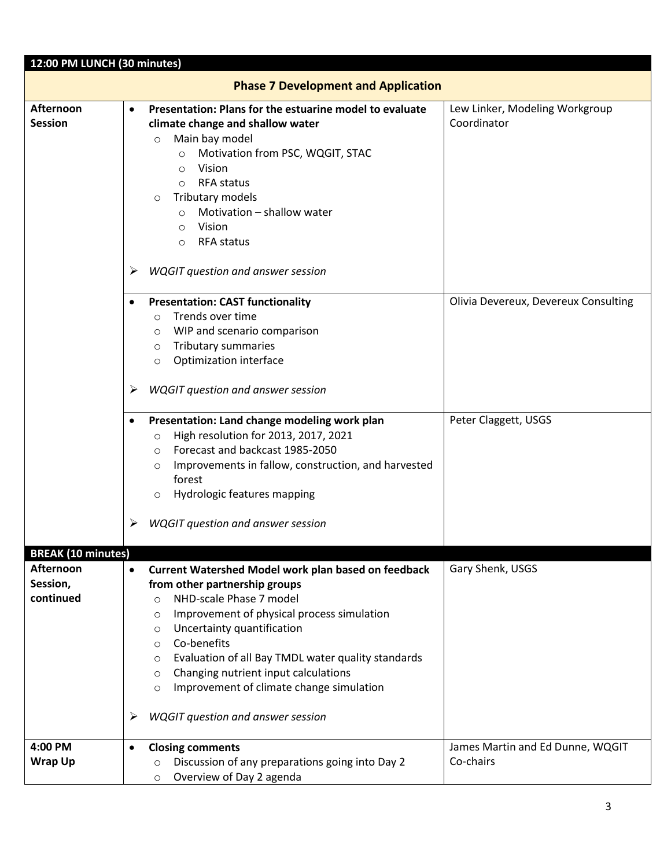| 12:00 PM LUNCH (30 minutes)                                     |                                                                                                                                                                                                                                                                                                                                                                                                                                                                                                        |                                               |  |  |
|-----------------------------------------------------------------|--------------------------------------------------------------------------------------------------------------------------------------------------------------------------------------------------------------------------------------------------------------------------------------------------------------------------------------------------------------------------------------------------------------------------------------------------------------------------------------------------------|-----------------------------------------------|--|--|
| <b>Phase 7 Development and Application</b>                      |                                                                                                                                                                                                                                                                                                                                                                                                                                                                                                        |                                               |  |  |
| Afternoon<br><b>Session</b>                                     | Presentation: Plans for the estuarine model to evaluate<br>$\bullet$<br>climate change and shallow water<br>Main bay model<br>$\circ$<br>Motivation from PSC, WQGIT, STAC<br>$\circ$<br>Vision<br>$\circ$<br><b>RFA status</b><br>$\circ$<br>Tributary models<br>$\circ$<br>Motivation - shallow water<br>$\circ$<br>Vision<br>$\circ$<br><b>RFA status</b><br>$\circ$<br><b>WQGIT question and answer session</b><br>⋗                                                                                | Lew Linker, Modeling Workgroup<br>Coordinator |  |  |
|                                                                 | <b>Presentation: CAST functionality</b><br>Trends over time<br>$\circ$<br>$\circ$ WIP and scenario comparison<br>o Tributary summaries<br>Optimization interface<br>$\circ$<br><b>WQGIT</b> question and answer session<br>➤                                                                                                                                                                                                                                                                           | Olivia Devereux, Devereux Consulting          |  |  |
|                                                                 | Presentation: Land change modeling work plan<br>High resolution for 2013, 2017, 2021<br>$\circ$<br>O Forecast and backcast 1985-2050<br>Improvements in fallow, construction, and harvested<br>$\circ$<br>forest<br>Hydrologic features mapping<br>$\circ$                                                                                                                                                                                                                                             | Peter Claggett, USGS                          |  |  |
|                                                                 | <b>WQGIT question and answer session</b>                                                                                                                                                                                                                                                                                                                                                                                                                                                               |                                               |  |  |
| <b>BREAK (10 minutes)</b><br>Afternoon<br>Session,<br>continued | <b>Current Watershed Model work plan based on feedback</b><br>$\bullet$<br>from other partnership groups<br>NHD-scale Phase 7 model<br>$\circ$<br>Improvement of physical process simulation<br>$\circ$<br>Uncertainty quantification<br>$\circ$<br>Co-benefits<br>$\circ$<br>Evaluation of all Bay TMDL water quality standards<br>$\circ$<br>Changing nutrient input calculations<br>$\circ$<br>Improvement of climate change simulation<br>$\circ$<br><b>WQGIT question and answer session</b><br>➤ | Gary Shenk, USGS                              |  |  |
| 4:00 PM<br><b>Wrap Up</b>                                       | <b>Closing comments</b><br>$\bullet$<br>Discussion of any preparations going into Day 2<br>$\circ$<br>Overview of Day 2 agenda<br>$\circ$                                                                                                                                                                                                                                                                                                                                                              | James Martin and Ed Dunne, WQGIT<br>Co-chairs |  |  |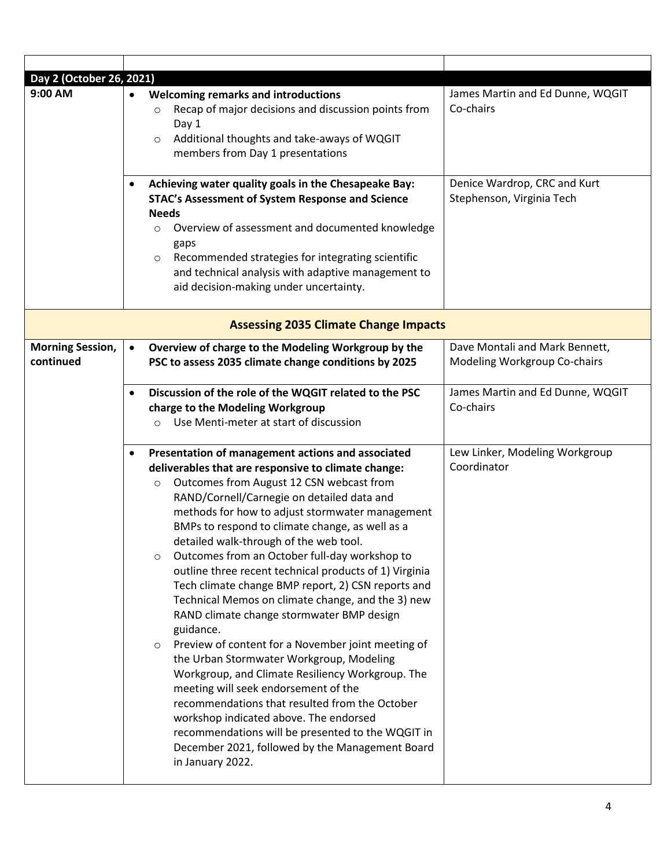| Day 2 (October 26, 2021)<br>9:00 AM  | <b>Welcoming remarks and introductions</b><br>$\bullet$<br>Recap of major decisions and discussion points from<br>$\circ$<br>Day 1<br>Additional thoughts and take-aways of WQGIT<br>$\circ$<br>members from Day 1 presentations                                                                                                                                                                                                                                                                                                                                                                                                                                                                                                                                                                                                                                                                                                                                                                                                                                                                 | James Martin and Ed Dunne, WQGIT<br>Co-chairs                  |
|--------------------------------------|--------------------------------------------------------------------------------------------------------------------------------------------------------------------------------------------------------------------------------------------------------------------------------------------------------------------------------------------------------------------------------------------------------------------------------------------------------------------------------------------------------------------------------------------------------------------------------------------------------------------------------------------------------------------------------------------------------------------------------------------------------------------------------------------------------------------------------------------------------------------------------------------------------------------------------------------------------------------------------------------------------------------------------------------------------------------------------------------------|----------------------------------------------------------------|
|                                      | Achieving water quality goals in the Chesapeake Bay:<br>$\bullet$<br>STAC's Assessment of System Response and Science<br><b>Needs</b><br>Overview of assessment and documented knowledge<br>O<br>gaps<br>Recommended strategies for integrating scientific<br>$\circ$<br>and technical analysis with adaptive management to<br>aid decision-making under uncertainty.                                                                                                                                                                                                                                                                                                                                                                                                                                                                                                                                                                                                                                                                                                                            | Denice Wardrop, CRC and Kurt<br>Stephenson, Virginia Tech      |
|                                      | <b>Assessing 2035 Climate Change Impacts</b>                                                                                                                                                                                                                                                                                                                                                                                                                                                                                                                                                                                                                                                                                                                                                                                                                                                                                                                                                                                                                                                     |                                                                |
| <b>Morning Session,</b><br>continued | Overview of charge to the Modeling Workgroup by the<br>$\bullet$<br>PSC to assess 2035 climate change conditions by 2025                                                                                                                                                                                                                                                                                                                                                                                                                                                                                                                                                                                                                                                                                                                                                                                                                                                                                                                                                                         | Dave Montali and Mark Bennett,<br>Modeling Workgroup Co-chairs |
|                                      | Discussion of the role of the WQGIT related to the PSC<br>$\bullet$<br>charge to the Modeling Workgroup<br>Use Menti-meter at start of discussion<br>$\circ$                                                                                                                                                                                                                                                                                                                                                                                                                                                                                                                                                                                                                                                                                                                                                                                                                                                                                                                                     | James Martin and Ed Dunne, WQGIT<br>Co-chairs                  |
|                                      | Presentation of management actions and associated<br>$\bullet$<br>deliverables that are responsive to climate change:<br>Outcomes from August 12 CSN webcast from<br>$\circ$<br>RAND/Cornell/Carnegie on detailed data and<br>methods for how to adjust stormwater management<br>BMPs to respond to climate change, as well as a<br>detailed walk-through of the web tool.<br>Outcomes from an October full-day workshop to<br>O<br>outline three recent technical products of 1) Virginia<br>Tech climate change BMP report, 2) CSN reports and<br>Technical Memos on climate change, and the 3) new<br>RAND climate change stormwater BMP design<br>guidance.<br>Preview of content for a November joint meeting of<br>$\circ$<br>the Urban Stormwater Workgroup, Modeling<br>Workgroup, and Climate Resiliency Workgroup. The<br>meeting will seek endorsement of the<br>recommendations that resulted from the October<br>workshop indicated above. The endorsed<br>recommendations will be presented to the WQGIT in<br>December 2021, followed by the Management Board<br>in January 2022. | Lew Linker, Modeling Workgroup<br>Coordinator                  |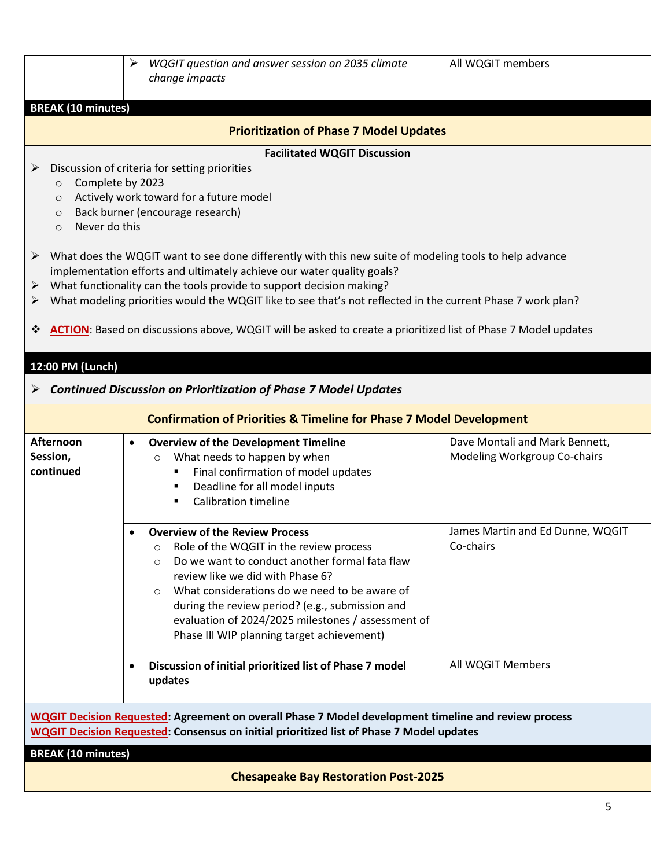|                                                                                                                                                                                                                                                                                                                                                                                                                                                                                                                                                                                                                                                                                                                                                                            | ➤<br>WQGIT question and answer session on 2035 climate<br>change impacts                                                                                                                                                                                                                                                                                                                                        | All WQGIT members                                              |  |  |
|----------------------------------------------------------------------------------------------------------------------------------------------------------------------------------------------------------------------------------------------------------------------------------------------------------------------------------------------------------------------------------------------------------------------------------------------------------------------------------------------------------------------------------------------------------------------------------------------------------------------------------------------------------------------------------------------------------------------------------------------------------------------------|-----------------------------------------------------------------------------------------------------------------------------------------------------------------------------------------------------------------------------------------------------------------------------------------------------------------------------------------------------------------------------------------------------------------|----------------------------------------------------------------|--|--|
| <b>BREAK (10 minutes)</b>                                                                                                                                                                                                                                                                                                                                                                                                                                                                                                                                                                                                                                                                                                                                                  |                                                                                                                                                                                                                                                                                                                                                                                                                 |                                                                |  |  |
|                                                                                                                                                                                                                                                                                                                                                                                                                                                                                                                                                                                                                                                                                                                                                                            | <b>Prioritization of Phase 7 Model Updates</b>                                                                                                                                                                                                                                                                                                                                                                  |                                                                |  |  |
| <b>Facilitated WQGIT Discussion</b><br>Discussion of criteria for setting priorities<br>➤<br>Complete by 2023<br>$\circ$<br>Actively work toward for a future model<br>$\circ$<br>Back burner (encourage research)<br>$\circ$<br>Never do this<br>$\Omega$<br>What does the WQGIT want to see done differently with this new suite of modeling tools to help advance<br>➤<br>implementation efforts and ultimately achieve our water quality goals?<br>What functionality can the tools provide to support decision making?<br>➤<br>What modeling priorities would the WQGIT like to see that's not reflected in the current Phase 7 work plan?<br>➤<br>ACTION: Based on discussions above, WQGIT will be asked to create a prioritized list of Phase 7 Model updates<br>❖ |                                                                                                                                                                                                                                                                                                                                                                                                                 |                                                                |  |  |
| 12:00 PM (Lunch)                                                                                                                                                                                                                                                                                                                                                                                                                                                                                                                                                                                                                                                                                                                                                           |                                                                                                                                                                                                                                                                                                                                                                                                                 |                                                                |  |  |
| ➤                                                                                                                                                                                                                                                                                                                                                                                                                                                                                                                                                                                                                                                                                                                                                                          | <b>Continued Discussion on Prioritization of Phase 7 Model Updates</b>                                                                                                                                                                                                                                                                                                                                          |                                                                |  |  |
|                                                                                                                                                                                                                                                                                                                                                                                                                                                                                                                                                                                                                                                                                                                                                                            | <b>Confirmation of Priorities &amp; Timeline for Phase 7 Model Development</b>                                                                                                                                                                                                                                                                                                                                  |                                                                |  |  |
| Afternoon<br>Session,<br>continued                                                                                                                                                                                                                                                                                                                                                                                                                                                                                                                                                                                                                                                                                                                                         | <b>Overview of the Development Timeline</b><br>$\bullet$<br>What needs to happen by when<br>$\circ$<br>Final confirmation of model updates<br>Deadline for all model inputs<br>٠<br><b>Calibration timeline</b><br>٠                                                                                                                                                                                            | Dave Montali and Mark Bennett,<br>Modeling Workgroup Co-chairs |  |  |
|                                                                                                                                                                                                                                                                                                                                                                                                                                                                                                                                                                                                                                                                                                                                                                            | <b>Overview of the Review Process</b><br>Role of the WQGIT in the review process<br>$\circ$<br>Do we want to conduct another formal fata flaw<br>$\circ$<br>review like we did with Phase 6?<br>What considerations do we need to be aware of<br>$\circ$<br>during the review period? (e.g., submission and<br>evaluation of 2024/2025 milestones / assessment of<br>Phase III WIP planning target achievement) | James Martin and Ed Dunne, WQGIT<br>Co-chairs                  |  |  |
|                                                                                                                                                                                                                                                                                                                                                                                                                                                                                                                                                                                                                                                                                                                                                                            | Discussion of initial prioritized list of Phase 7 model<br>updates                                                                                                                                                                                                                                                                                                                                              | All WQGIT Members                                              |  |  |
| <b>WQGIT Decision Requested: Agreement on overall Phase 7 Model development timeline and review process</b><br><b>WQGIT Decision Requested: Consensus on initial prioritized list of Phase 7 Model updates</b>                                                                                                                                                                                                                                                                                                                                                                                                                                                                                                                                                             |                                                                                                                                                                                                                                                                                                                                                                                                                 |                                                                |  |  |
| <b>BREAK (10 minutes)</b><br><b>Chesapeake Bay Restoration Post-2025</b>                                                                                                                                                                                                                                                                                                                                                                                                                                                                                                                                                                                                                                                                                                   |                                                                                                                                                                                                                                                                                                                                                                                                                 |                                                                |  |  |